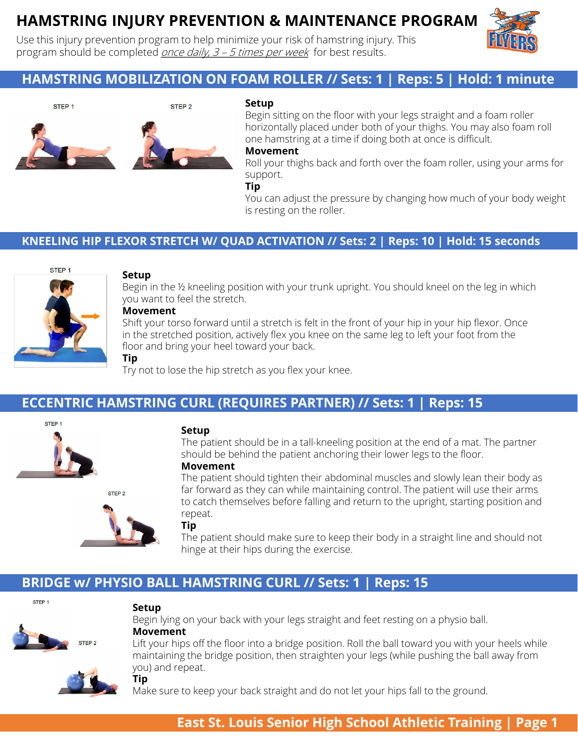# **HAMSTRING INJURY PREVENTION & MAINTENANCE PROGRAM**

Use this injury prevention program to help minimize your risk of hamstring injury. This program should be completed *once daily,*  $3 - 5$  *times per week* for best results.



## **HAMSTRING MOBILIZATION ON FOAM ROLLER // Sets: 1 | Reps: 5 | Hold: 1 minute**



#### **Setup**

Begin sitting on the floor with your legs straight and a foam roller horizontally placed under both of your thighs. You may also foam roll one hamstring at a time if doing both at once is difficult.

### **Movement**

Roll your thighs back and forth over the foam roller, using your arms for support.

#### **Tip**

You can adjust the pressure by changing how much of your body weight is resting on the roller.

### **KNEELING HIP FLEXOR STRETCH W/ QUAD ACTIVATION // Sets: 2 | Reps: 10 | Hold: 15 seconds**



#### **Setup**

**Tip**

STEP<sub>2</sub>

Begin in the ½ kneeling position with your trunk upright. You should kneel on the leg in which you want to feel the stretch.

#### **Movement**

Shift your torso forward until a stretch is felt in the front of your hip in your hip flexor. Once in the stretched position, actively flex you knee on the same leg to left your foot from the floor and bring your heel toward your back.

Try not to lose the hip stretch as you flex your knee.

### **ECCENTRIC HAMSTRING CURL (REQUIRES PARTNER) // Sets: 1 | Reps: 15**



#### **Setup**

The patient should be in a tall-kneeling position at the end of a mat. The partner should be behind the patient anchoring their lower legs to the floor.

#### **Movement**

The patient should tighten their abdominal muscles and slowly lean their body as far forward as they can while maintaining control. The patient will use their arms to catch themselves before falling and return to the upright, starting position and repeat.

#### **Tip**

The patient should make sure to keep their body in a straight line and should not hinge at their hips during the exercise.

### **BRIDGE w/ PHYSIO BALL HAMSTRING CURL // Sets: 1 | Reps: 15**



#### **Setup**

**Tip**



#### Begin lying on your back with your legs straight and feet resting on a physio ball. **Movement**

Lift your hips off the floor into a bridge position. Roll the ball toward you with your heels while maintaining the bridge position, then straighten your legs (while pushing the ball away from you) and repeat.



Make sure to keep your back straight and do not let your hips fall to the ground.